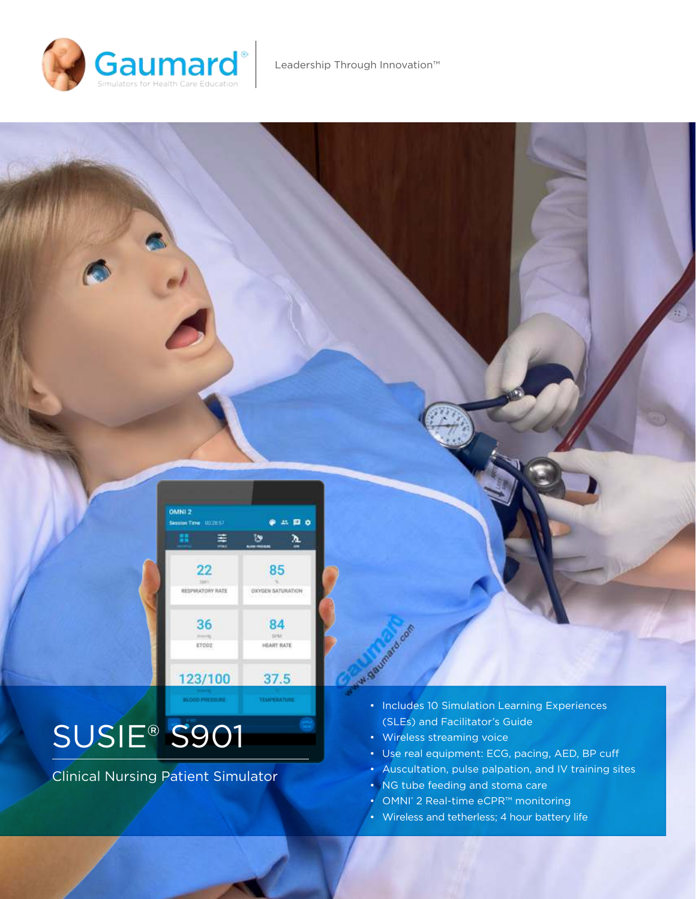



# SUSIE® S901

Clinical Nursing Patient Simulator

- Includes 10 Simulation Learning Experiences (SLEs) and Facilitator's Guide
- Wireless streaming voice
- Use real equipment: ECG, pacing, AED, BP cuf
- Auscultation, pulse palpation, and IV training sites
- NG tube feeding and stoma care
- OMNI<sup>®</sup> 2 Real-time eCPR™ monitoring
- Wireless and tetherless; 4 hour battery life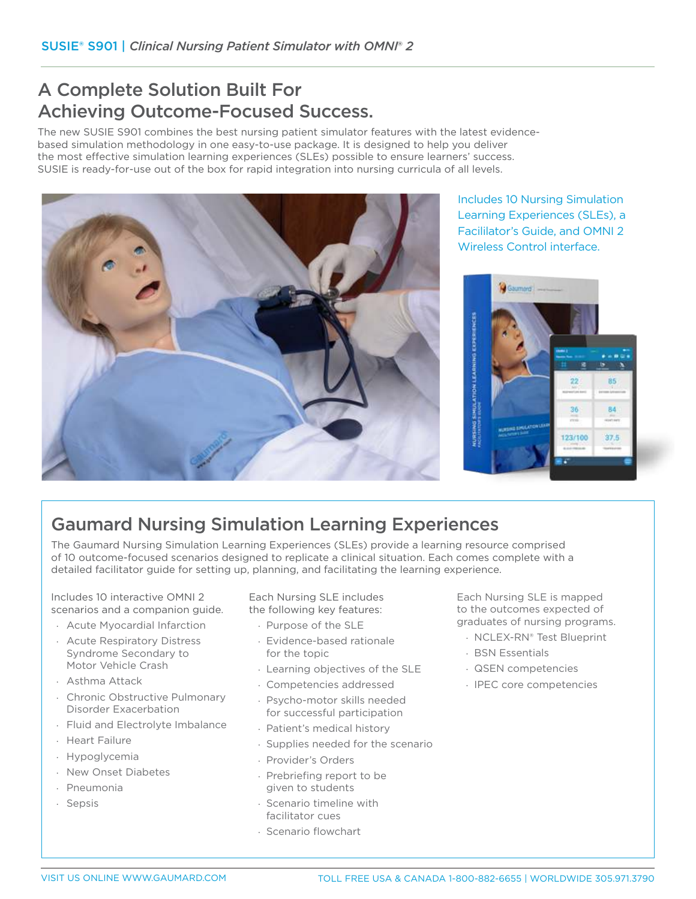# A Complete Solution Built For Achieving Outcome-Focused Success.

The new SUSIE S901 combines the best nursing patient simulator features with the latest evidencebased simulation methodology in one easy-to-use package. It is designed to help you deliver the most efective simulation learning experiences (SLEs) possible to ensure learners' success. SUSIE is ready-for-use out of the box for rapid integration into nursing curricula of all levels.



Includes 10 Nursing Simulation Learning Experiences (SLEs), a Facililator's Guide, and OMNI 2 Wireless Control interface.



# Gaumard Nursing Simulation Learning Experiences

The Gaumard Nursing Simulation Learning Experiences (SLEs) provide a learning resource comprised of 10 outcome-focused scenarios designed to replicate a clinical situation. Each comes complete with a detailed facilitator guide for setting up, planning, and facilitating the learning experience.

Includes 10 interactive OMNI 2 scenarios and a companion guide.

- · Acute Myocardial Infarction
- · Acute Respiratory Distress Syndrome Secondary to Motor Vehicle Crash
- · Asthma Attack
- · Chronic Obstructive Pulmonary Disorder Exacerbation
- · Fluid and Electrolyte Imbalance
- · Heart Failure
- · Hypoglycemia
- · New Onset Diabetes
- · Pneumonia
- · Sepsis

Each Nursing SLE includes the following key features:

- · Purpose of the SLE
- · Evidence-based rationale for the topic
- · Learning objectives of the SLE
- · Competencies addressed
- · Psycho-motor skills needed for successful participation
- · Patient's medical history
- · Supplies needed for the scenario
- · Provider's Orders
- · Prebriefing report to be given to students
- · Scenario timeline with facilitator cues
- · Scenario lowchart

Each Nursing SLE is mapped to the outcomes expected of graduates of nursing programs.

- · NCLEX-RN® Test Blueprint
- · BSN Essentials
- · QSEN competencies
- · IPEC core competencies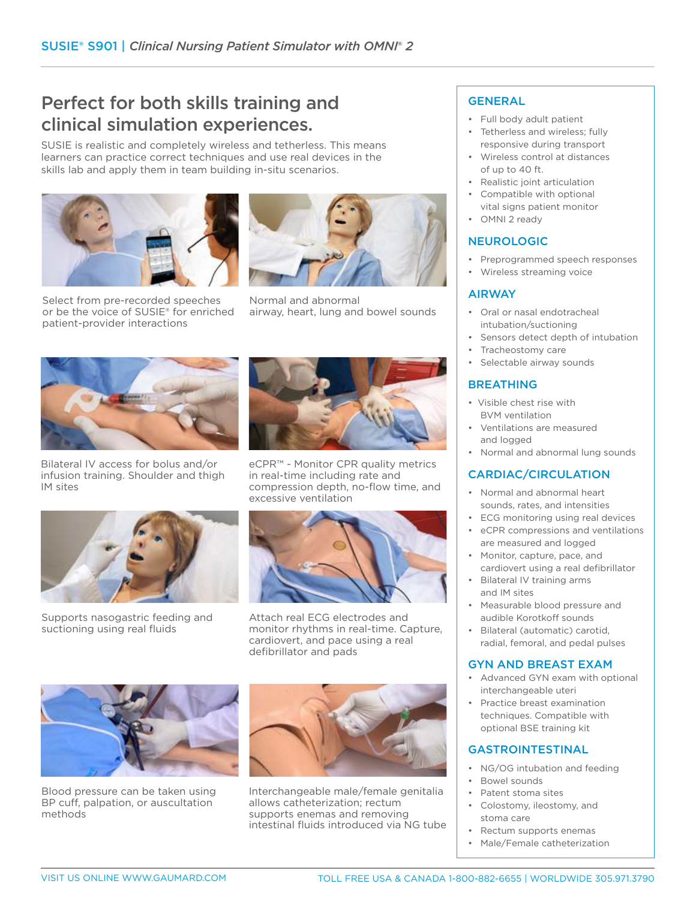# Perfect for both skills training and clinical simulation experiences.

SUSIE is realistic and completely wireless and tetherless. This means learners can practice correct techniques and use real devices in the skills lab and apply them in team building in-situ scenarios.





Select from pre-recorded speeches or be the voice of SUSIE® for enriched patient-provider interactions

Normal and abnormal airway, heart, lung and bowel sounds



Bilateral IV access for bolus and/or infusion training. Shoulder and thigh IM sites



eCPR™ - Monitor CPR quality metrics in real-time including rate and compression depth, no-flow time, and excessive ventilation



Supports nasogastric feeding and suctioning using real fluids



Attach real ECG electrodes and monitor rhythms in real-time. Capture, cardiovert, and pace using a real defibrillator and pads



Blood pressure can be taken using BP cuff, palpation, or auscultation methods



Interchangeable male/female genitalia allows catheterization; rectum supports enemas and removing intestinal fluids introduced via NG tube

# GENERAL

- Full body adult patient
- Tetherless and wireless; fully responsive during transport
- Wireless control at distances of up to 40 ft.
- Realistic joint articulation
- Compatible with optional
- vital signs patient monitor • OMNI 2 ready

# NEUROLOGIC

- Preprogrammed speech responses
- Wireless streaming voice

# AIRWAY

- Oral or nasal endotracheal intubation/suctioning
- Sensors detect depth of intubation
- Tracheostomy care
- Selectable airway sounds

# BREATHING

- Visible chest rise with BVM ventilation
- Ventilations are measured and logged
- Normal and abnormal lung sounds

# CARDIAC/CIRCULATION

- Normal and abnormal heart sounds, rates, and intensities
- ECG monitoring using real devices
- eCPR compressions and ventilations are measured and logged
- Monitor, capture, pace, and cardiovert using a real defibrillator
- Bilateral IV training arms and IM sites
- Measurable blood pressure and audible Korotkoff sounds
- Bilateral (automatic) carotid, radial, femoral, and pedal pulses

## GYN AND BREAST EXAM

- Advanced GYN exam with optional interchangeable uteri
- Practice breast examination techniques. Compatible with optional BSE training kit

# GASTROINTESTINAL

- NG/OG intubation and feeding
- Bowel sounds
- Patent stoma sites
- Colostomy, ileostomy, and stoma care
- Rectum supports enemas
- Male/Female catheterization